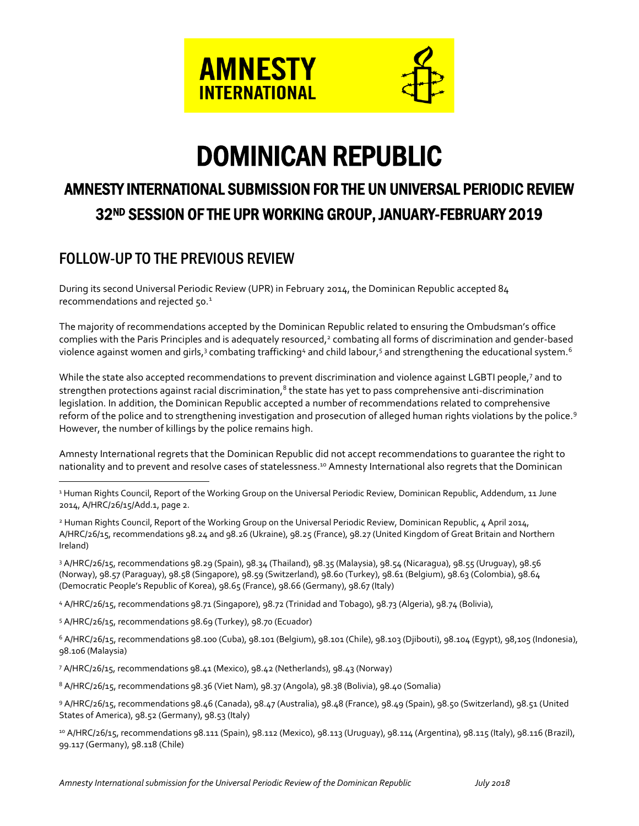

# DOMINICAN REPUBLIC

# AMNESTY INTERNATIONAL SUBMISSION FOR THE UN UNIVERSAL PERIODIC REVIEW 32ND SESSION OF THE UPR WORKING GROUP, JANUARY-FEBRUARY 2019

# FOLLOW-UP TO THE PREVIOUS REVIEW

During its second Universal Periodic Review (UPR) in February 2014, the Dominican Republic accepted 84 recommendations and rejected 50.<sup>1</sup>

The majority of recommendations accepted by the Dominican Republic related to ensuring the Ombudsman's office complies with the Paris Principles and is adequately resourced,<sup>2</sup> combating all forms of discrimination and gender-based violence against women and girls, $^3$  combating trafficking $^4$  and child labour, $^5$  and strengthening the educational system. $^6$ 

While the state also accepted recommendations to prevent discrimination and violence against LGBTI people,<sup>7</sup> and to strengthen protections against racial discrimination, $^8$  the state has yet to pass comprehensive anti-discrimination legislation. In addition, the Dominican Republic accepted a number of recommendations related to comprehensive reform of the police and to strengthening investigation and prosecution of alleged human rights violations by the police.<sup>9</sup> However, the number of killings by the police remains high.

Amnesty International regrets that the Dominican Republic did not accept recommendations to guarantee the right to nationality and to prevent and resolve cases of statelessness.<sup>10</sup> Amnesty International also regrets that the Dominican

<sup>1</sup> Human Rights Council, Report of the Working Group on the Universal Periodic Review, Dominican Republic, Addendum, 11 June 2014, A/HRC/26/15/Add.1, page 2.

<sup>2</sup> Human Rights Council, Report of the Working Group on the Universal Periodic Review, Dominican Republic, 4 April 2014, A/HRC/26/15, recommendations 98.24 and 98.26 (Ukraine), 98.25 (France), 98.27 (United Kingdom of Great Britain and Northern Ireland)

<sup>3</sup> A/HRC/26/15, recommendations 98.29 (Spain), 98.34 (Thailand), 98.35 (Malaysia), 98.54 (Nicaragua), 98.55 (Uruguay), 98.56 (Norway), 98.57 (Paraguay), 98.58 (Singapore), 98.59 (Switzerland), 98.60 (Turkey), 98.61 (Belgium), 98.63 (Colombia), 98.64 (Democratic People's Republic of Korea), 98.65 (France), 98.66 (Germany), 98.67 (Italy)

<sup>4</sup> A/HRC/26/15, recommendations 98.71 (Singapore), 98.72 (Trinidad and Tobago), 98.73 (Algeria), 98.74 (Bolivia),

<sup>5</sup> A/HRC/26/15, recommendations 98.69 (Turkey), 98.70 (Ecuador)

 $\overline{a}$ 

 $6$  A/HRC/26/15, recommendations 98.100 (Cuba), 98.101 (Belgium), 98.101 (Chile), 98.103 (Djibouti), 98.104 (Egypt), 98.105 (Indonesia), 98.106 (Malaysia)

<sup>7</sup> A/HRC/26/15, recommendations 98.41 (Mexico), 98.42 (Netherlands), 98.43 (Norway)

<sup>8</sup> A/HRC/26/15, recommendations 98.36 (Viet Nam), 98.37 (Angola), 98.38 (Bolivia), 98.40 (Somalia)

<sup>9</sup> A/HRC/26/15, recommendations 98.46 (Canada), 98.47 (Australia), 98.48 (France), 98.49 (Spain), 98.50 (Switzerland), 98.51 (United States of America), 98.52 (Germany), 98.53 (Italy)

<sup>10</sup> A/HRC/26/15, recommendations 98.111 (Spain), 98.112 (Mexico), 98.113 (Uruguay), 98.114 (Argentina), 98.115 (Italy), 98.116 (Brazil), 99.117 (Germany), 98.118 (Chile)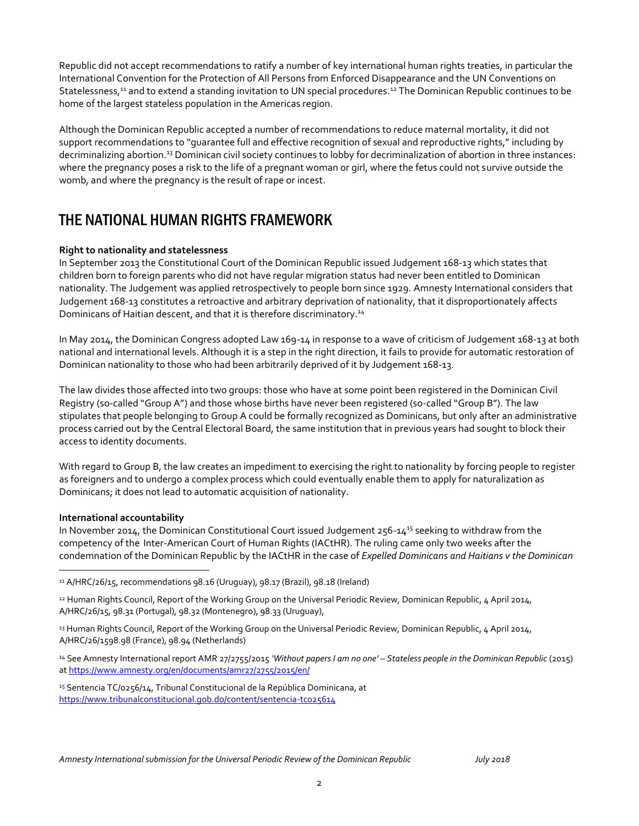Republic did not accept recommendations to ratify a number of key international human rights treaties, in particular the International Convention for the Protection of All Persons from Enforced Disappearance and the UN Conventions on Statelessness,<sup>11</sup> and to extend a standing invitation to UN special procedures.<sup>12</sup> The Dominican Republic continues to be home of the largest stateless population in the Americas region.

Although the Dominican Republic accepted a number of recommendations to reduce maternal mortality, it did not support recommendations to "guarantee full and effective recognition of sexual and reproductive rights," including by decriminalizing abortion.<sup>13</sup> Dominican civil society continues to lobby for decriminalization of abortion in three instances: where the pregnancy poses a risk to the life of a pregnant woman or girl, where the fetus could not survive outside the womb, and where the pregnancy is the result of rape or incest.

## THE NATIONAL HUMAN RIGHTS FRAMEWORK

#### **Right to nationality and statelessness**

In September 2013 the Constitutional Court of the Dominican Republic issued Judgement 168-13 which states that children born to foreign parents who did not have regular migration status had never been entitled to Dominican nationality. The Judgement was applied retrospectively to people born since 1929. Amnesty International considers that Judgement 168-13 constitutes a retroactive and arbitrary deprivation of nationality, that it disproportionately affects Dominicans of Haitian descent, and that it is therefore discriminatory.<sup>14</sup>

In May 2014, the Dominican Congress adopted Law 169-14 in response to a wave of criticism of Judgement 168-13 at both national and international levels. Although it is a step in the right direction, it fails to provide for automatic restoration of Dominican nationality to those who had been arbitrarily deprived of it by Judgement 168-13.

The law divides those affected into two groups: those who have at some point been registered in the Dominican Civil Registry (so-called "Group A") and those whose births have never been registered (so-called "Group B"). The law stipulates that people belonging to Group A could be formally recognized as Dominicans, but only after an administrative process carried out by the Central Electoral Board, the same institution that in previous years had sought to block their access to identity documents.

With regard to Group B, the law creates an impediment to exercising the right to nationality by forcing people to register as foreigners and to undergo a complex process which could eventually enable them to apply for naturalization as Dominicans; it does not lead to automatic acquisition of nationality.

#### **International accountability**

 $\overline{a}$ 

In November 2014, the Dominican Constitutional Court issued Judgement 256-14<sup>15</sup> seeking to withdraw from the competency of the Inter-American Court of Human Rights (IACtHR). The ruling came only two weeks after the condemnation of the Dominican Republic by the IACtHR in the case of *Expelled Dominicans and Haitians v the Dominican* 

 $11$  A/HRC/26/15, recommendations 98.16 (Uruguay), 98.17 (Brazil), 98.18 (Ireland)

<sup>&</sup>lt;sup>12</sup> Human Rights Council, Report of the Working Group on the Universal Periodic Review, Dominican Republic, 4 April 2014, A/HRC/26/15, 98.31 (Portugal), 98.32 (Montenegro), 98.33 (Uruguay),

<sup>13</sup> Human Rights Council, Report of the Working Group on the Universal Periodic Review, Dominican Republic, 4 April 2014, A/HRC/26/1598.98 (France), 98.94 (Netherlands)

<sup>14</sup> See Amnesty International report AMR 27/2755/2015 *'Without papers I am no one' – Stateless people in the Dominican Republic* (2015) a[t https://www.amnesty.org/en/documents/amr27/2755/2015/en/](https://www.amnesty.org/en/documents/amr27/2755/2015/en/)

<sup>&</sup>lt;sup>15</sup> Sentencia TC/0256/14, Tribunal Constitucional de la República Dominicana, at <https://www.tribunalconstitucional.gob.do/content/sentencia-tc025614>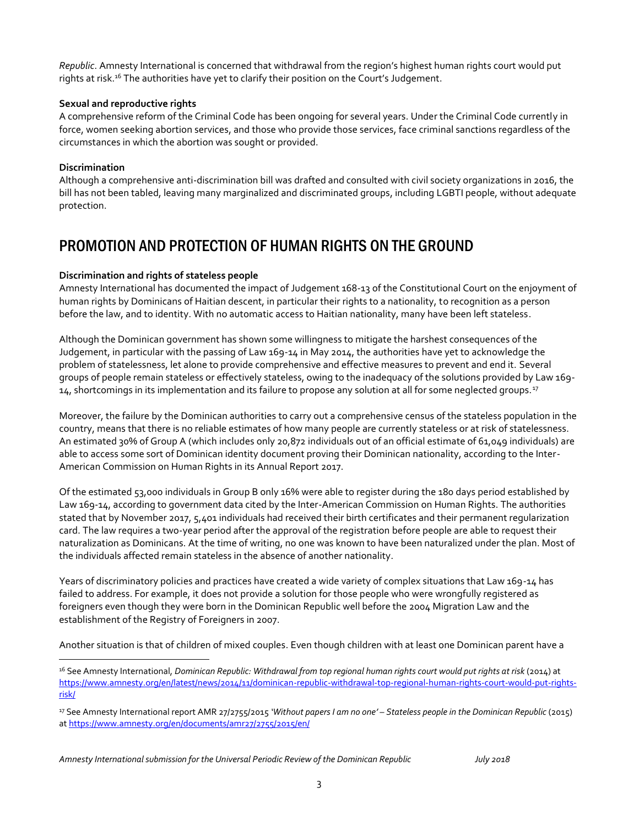*Republic*. Amnesty International is concerned that withdrawal from the region's highest human rights court would put rights at risk.<sup>16</sup> The authorities have yet to clarify their position on the Court's Judgement.

#### **Sexual and reproductive rights**

A comprehensive reform of the Criminal Code has been ongoing for several years. Under the Criminal Code currently in force, women seeking abortion services, and those who provide those services, face criminal sanctions regardless of the circumstances in which the abortion was sought or provided.

#### **Discrimination**

 $\overline{a}$ 

Although a comprehensive anti-discrimination bill was drafted and consulted with civil society organizations in 2016, the bill has not been tabled, leaving many marginalized and discriminated groups, including LGBTI people, without adequate protection.

### PROMOTION AND PROTECTION OF HUMAN RIGHTS ON THE GROUND

#### **Discrimination and rights of stateless people**

Amnesty International has documented the impact of Judgement 168-13 of the Constitutional Court on the enjoyment of human rights by Dominicans of Haitian descent, in particular their rights to a nationality, to recognition as a person before the law, and to identity. With no automatic access to Haitian nationality, many have been left stateless.

Although the Dominican government has shown some willingness to mitigate the harshest consequences of the Judgement, in particular with the passing of Law 169-14 in May 2014, the authorities have yet to acknowledge the problem of statelessness, let alone to provide comprehensive and effective measures to prevent and end it. Several groups of people remain stateless or effectively stateless, owing to the inadequacy of the solutions provided by Law 169- 14, shortcomings in its implementation and its failure to propose any solution at all for some neglected groups.<sup>17</sup>

Moreover, the failure by the Dominican authorities to carry out a comprehensive census of the stateless population in the country, means that there is no reliable estimates of how many people are currently stateless or at risk of statelessness. An estimated 30% of Group A (which includes only 20,872 individuals out of an official estimate of 61,049 individuals) are able to access some sort of Dominican identity document proving their Dominican nationality, according to the Inter-American Commission on Human Rights in its Annual Report 2017.

Of the estimated 53,000 individuals in Group B only 16% were able to register during the 180 days period established by Law 169-14, according to government data cited by the Inter-American Commission on Human Rights. The authorities stated that by November 2017, 5,401 individuals had received their birth certificates and their permanent regularization card. The law requires a two-year period after the approval of the registration before people are able to request their naturalization as Dominicans. At the time of writing, no one was known to have been naturalized under the plan. Most of the individuals affected remain stateless in the absence of another nationality.

Years of discriminatory policies and practices have created a wide variety of complex situations that Law 169-14 has failed to address. For example, it does not provide a solution for those people who were wrongfully registered as foreigners even though they were born in the Dominican Republic well before the 2004 Migration Law and the establishment of the Registry of Foreigners in 2007.

Another situation is that of children of mixed couples. Even though children with at least one Dominican parent have a

<sup>16</sup> See Amnesty International, *Dominican Republic: Withdrawal from top regional human rights court would put rights at risk* (2014) at [https://www.amnesty.org/en/latest/news/2014/11/dominican-republic-withdrawal-top-regional-human-rights-court-would-put-rights](https://www.amnesty.org/en/latest/news/2014/11/dominican-republic-withdrawal-top-regional-human-rights-court-would-put-rights-risk/)[risk/](https://www.amnesty.org/en/latest/news/2014/11/dominican-republic-withdrawal-top-regional-human-rights-court-would-put-rights-risk/)

<sup>17</sup> See Amnesty International report AMR 27/2755/2015 *'Without papers I am no one' – Stateless people in the Dominican Republic* (2015) a[t https://www.amnesty.org/en/documents/amr27/2755/2015/en/](https://www.amnesty.org/en/documents/amr27/2755/2015/en/)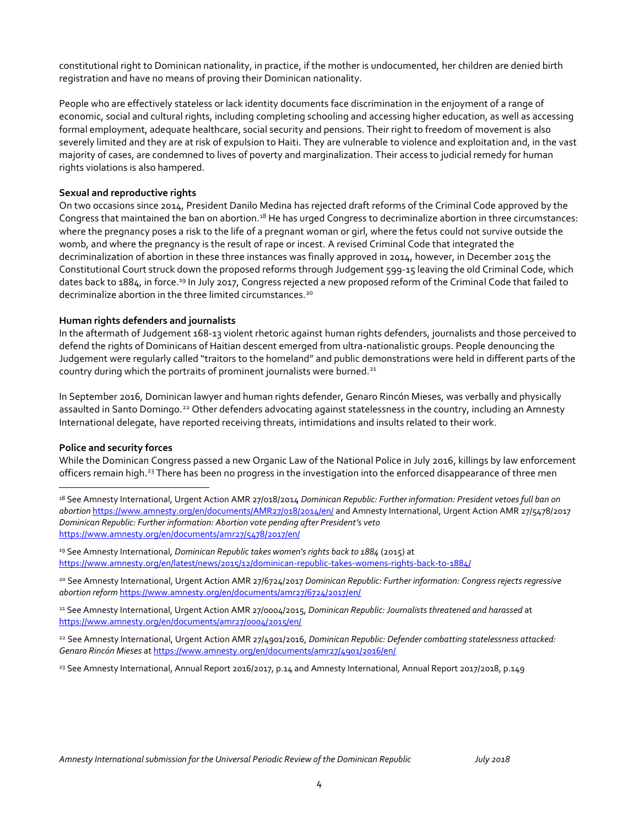constitutional right to Dominican nationality, in practice, if the mother is undocumented, her children are denied birth registration and have no means of proving their Dominican nationality.

People who are effectively stateless or lack identity documents face discrimination in the enjoyment of a range of economic, social and cultural rights, including completing schooling and accessing higher education, as well as accessing formal employment, adequate healthcare, social security and pensions. Their right to freedom of movement is also severely limited and they are at risk of expulsion to Haiti. They are vulnerable to violence and exploitation and, in the vast majority of cases, are condemned to lives of poverty and marginalization. Their access to judicial remedy for human rights violations is also hampered.

#### **Sexual and reproductive rights**

On two occasions since 2014, President Danilo Medina has rejected draft reforms of the Criminal Code approved by the Congress that maintained the ban on abortion.<sup>18</sup> He has urged Congress to decriminalize abortion in three circumstances: where the pregnancy poses a risk to the life of a pregnant woman or girl, where the fetus could not survive outside the womb, and where the pregnancy is the result of rape or incest. A revised Criminal Code that integrated the decriminalization of abortion in these three instances was finally approved in 2014, however, in December 2015 the Constitutional Court struck down the proposed reforms through Judgement 599-15 leaving the old Criminal Code, which dates back to 1884, in force.<sup>19</sup> In July 2017, Congress rejected a new proposed reform of the Criminal Code that failed to decriminalize abortion in the three limited circumstances.<sup>20</sup>

#### **Human rights defenders and journalists**

In the aftermath of Judgement 168-13 violent rhetoric against human rights defenders, journalists and those perceived to defend the rights of Dominicans of Haitian descent emerged from ultra-nationalistic groups. People denouncing the Judgement were regularly called "traitors to the homeland" and public demonstrations were held in different parts of the country during which the portraits of prominent journalists were burned.<sup>21</sup>

In September 2016, Dominican lawyer and human rights defender, Genaro Rincón Mieses, was verbally and physically assaulted in Santo Domingo.<sup>22</sup> Other defenders advocating against statelessness in the country, including an Amnesty International delegate, have reported receiving threats, intimidations and insults related to their work.

#### **Police and security forces**

 $\overline{a}$ 

While the Dominican Congress passed a new Organic Law of the National Police in July 2016, killings by law enforcement officers remain high.<sup>23</sup> There has been no progress in the investigation into the enforced disappearance of three men

<sup>19</sup> See Amnesty International, *Dominican Republic takes women's rights back to 1884* (2015) at <https://www.amnesty.org/en/latest/news/2015/12/dominican-republic-takes-womens-rights-back-to-1884/>

<sup>20</sup> See Amnesty International, Urgent Action AMR 27/6724/2017 *Dominican Republic: Further information: Congress rejects regressive abortion reform* <https://www.amnesty.org/en/documents/amr27/6724/2017/en/>

<sup>21</sup> See Amnesty International, Urgent Action AMR 27/0004/2015, *Dominican Republic: Journalists threatened and harassed* at <https://www.amnesty.org/en/documents/amr27/0004/2015/en/>

<sup>22</sup> See Amnesty International, Urgent Action AMR 27/4901/2016, *Dominican Republic: Defender combatting statelessness attacked: Genaro Rincón Mieses* a[t https://www.amnesty.org/en/documents/amr27/4901/2016/en/](https://www.amnesty.org/en/documents/amr27/4901/2016/en/)

<sup>23</sup> See Amnesty International, Annual Report 2016/2017, p.14 and Amnesty International, Annual Report 2017/2018, p.149

<sup>18</sup> See Amnesty International, Urgent Action AMR 27/018/2014 *Dominican Republic: Further information: President vetoes full ban on abortion* <https://www.amnesty.org/en/documents/AMR27/018/2014/en/> and Amnesty International, Urgent Action AMR 27/5478/2017 *Dominican Republic: Further information: Abortion vote pending after President's veto*  <https://www.amnesty.org/en/documents/amr27/5478/2017/en/>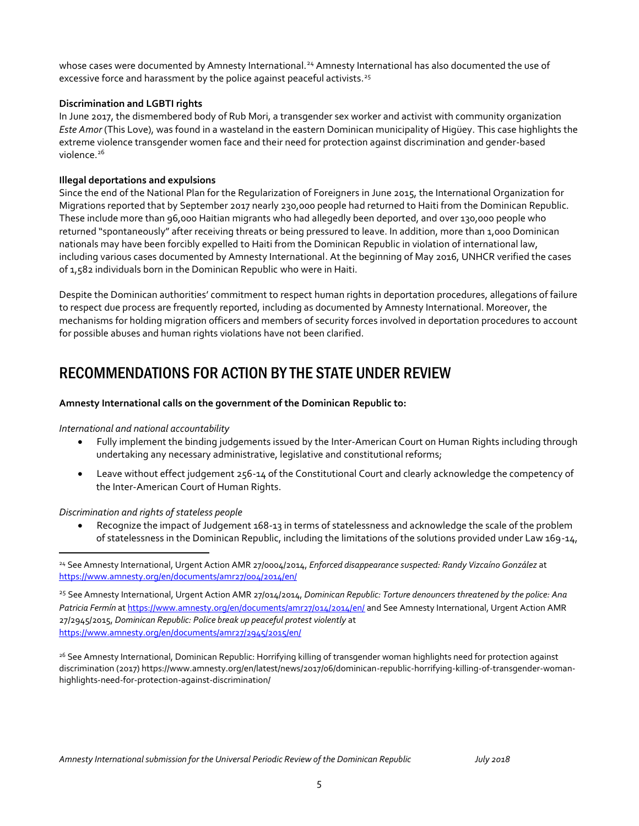whose cases were documented by Amnesty International.<sup>24</sup> Amnesty International has also documented the use of excessive force and harassment by the police against peaceful activists.<sup>25</sup>

#### **Discrimination and LGBTI rights**

In June 2017, the dismembered body of Rub Mori, a transgender sex worker and activist with community organization *Este Amor* (This Love), was found in a wasteland in the eastern Dominican municipality of Higüey. This case highlights the extreme violence transgender women face and their need for protection against discrimination and gender-based violence.<sup>26</sup>

#### **Illegal deportations and expulsions**

Since the end of the National Plan for the Regularization of Foreigners in June 2015, the International Organization for Migrations reported that by September 2017 nearly 230,000 people had returned to Haiti from the Dominican Republic. These include more than 96,000 Haitian migrants who had allegedly been deported, and over 130,000 people who returned "spontaneously" after receiving threats or being pressured to leave. In addition, more than 1,000 Dominican nationals may have been forcibly expelled to Haiti from the Dominican Republic in violation of international law, including various cases documented by Amnesty International. At the beginning of May 2016, UNHCR verified the cases of 1,582 individuals born in the Dominican Republic who were in Haiti.

Despite the Dominican authorities' commitment to respect human rights in deportation procedures, allegations of failure to respect due process are frequently reported, including as documented by Amnesty International. Moreover, the mechanisms for holding migration officers and members of security forces involved in deportation procedures to account for possible abuses and human rights violations have not been clarified.

# RECOMMENDATIONS FOR ACTION BY THE STATE UNDER REVIEW

#### **Amnesty International calls on the government of the Dominican Republic to:**

#### *International and national accountability*

- Fully implement the binding judgements issued by the Inter-American Court on Human Rights including through undertaking any necessary administrative, legislative and constitutional reforms;
- Leave without effect judgement 256-14 of the Constitutional Court and clearly acknowledge the competency of the Inter-American Court of Human Rights.

#### *Discrimination and rights of stateless people*

 $\overline{a}$ 

 Recognize the impact of Judgement 168-13 in terms of statelessness and acknowledge the scale of the problem of statelessness in the Dominican Republic, including the limitations of the solutions provided under Law 169-14,

<sup>25</sup> See Amnesty International, Urgent Action AMR 27/014/2014, *Dominican Republic: Torture denouncers threatened by the police: Ana Patricia Fermín* a[t https://www.amnesty.org/en/documents/amr27/014/2014/en/](https://www.amnesty.org/en/documents/amr27/014/2014/en/) and See Amnesty International, Urgent Action AMR 27/2945/2015, *Dominican Republic: Police break up peaceful protest violently* at <https://www.amnesty.org/en/documents/amr27/2945/2015/en/>

<sup>26</sup> See Amnesty International, Dominican Republic: Horrifying killing of transgender woman highlights need for protection against discrimination (2017) [https://www.amnesty.org/en/latest/news/2017/06/dominican-republic-horrifying-killing-of-transgender-woman](https://www.amnesty.org/en/latest/news/2017/06/dominican-republic-horrifying-killing-of-transgender-woman-highlights-need-for-protection-against-discrimination/)[highlights-need-for-protection-against-discrimination/](https://www.amnesty.org/en/latest/news/2017/06/dominican-republic-horrifying-killing-of-transgender-woman-highlights-need-for-protection-against-discrimination/)

<sup>24</sup> See Amnesty International, Urgent Action AMR 27/0004/2014, *Enforced disappearance suspected: Randy Vizcaíno González* at <https://www.amnesty.org/en/documents/amr27/004/2014/en/>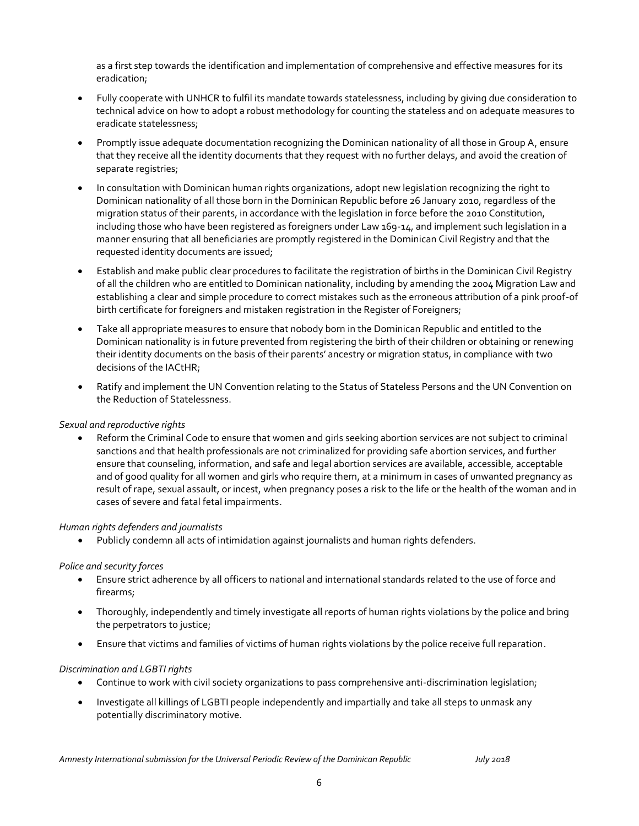as a first step towards the identification and implementation of comprehensive and effective measures for its eradication;

- Fully cooperate with UNHCR to fulfil its mandate towards statelessness, including by giving due consideration to technical advice on how to adopt a robust methodology for counting the stateless and on adequate measures to eradicate statelessness;
- Promptly issue adequate documentation recognizing the Dominican nationality of all those in Group A, ensure that they receive all the identity documents that they request with no further delays, and avoid the creation of separate registries;
- In consultation with Dominican human rights organizations, adopt new legislation recognizing the right to Dominican nationality of all those born in the Dominican Republic before 26 January 2010, regardless of the migration status of their parents, in accordance with the legislation in force before the 2010 Constitution, including those who have been registered as foreigners under Law 169-14, and implement such legislation in a manner ensuring that all beneficiaries are promptly registered in the Dominican Civil Registry and that the requested identity documents are issued;
- Establish and make public clear procedures to facilitate the registration of births in the Dominican Civil Registry of all the children who are entitled to Dominican nationality, including by amending the 2004 Migration Law and establishing a clear and simple procedure to correct mistakes such as the erroneous attribution of a pink proof-of birth certificate for foreigners and mistaken registration in the Register of Foreigners;
- Take all appropriate measures to ensure that nobody born in the Dominican Republic and entitled to the Dominican nationality is in future prevented from registering the birth of their children or obtaining or renewing their identity documents on the basis of their parents' ancestry or migration status, in compliance with two decisions of the IACtHR;
- Ratify and implement the UN Convention relating to the Status of Stateless Persons and the UN Convention on the Reduction of Statelessness.

#### *Sexual and reproductive rights*

 Reform the Criminal Code to ensure that women and girls seeking abortion services are not subject to criminal sanctions and that health professionals are not criminalized for providing safe abortion services, and further ensure that counseling, information, and safe and legal abortion services are available, accessible, acceptable and of good quality for all women and girls who require them, at a minimum in cases of unwanted pregnancy as result of rape, sexual assault, or incest, when pregnancy poses a risk to the life or the health of the woman and in cases of severe and fatal fetal impairments.

#### *Human rights defenders and journalists*

Publicly condemn all acts of intimidation against journalists and human rights defenders.

#### *Police and security forces*

- Ensure strict adherence by all officers to national and international standards related to the use of force and firearms;
- Thoroughly, independently and timely investigate all reports of human rights violations by the police and bring the perpetrators to justice;
- Ensure that victims and families of victims of human rights violations by the police receive full reparation.

#### *Discrimination and LGBTI rights*

- Continue to work with civil society organizations to pass comprehensive anti-discrimination legislation;
- Investigate all killings of LGBTI people independently and impartially and take all steps to unmask any potentially discriminatory motive.